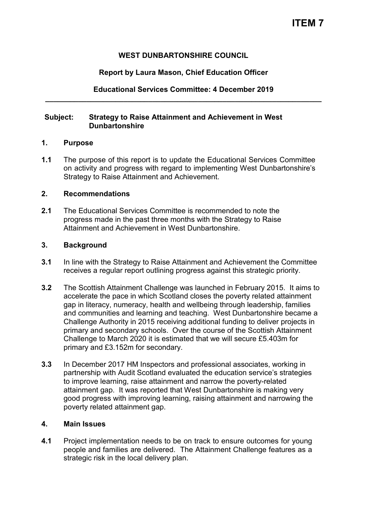# **WEST DUNBARTONSHIRE COUNCIL**

# **Report by Laura Mason, Chief Education Officer**

## **Educational Services Committee: 4 December 2019 \_\_\_\_\_\_\_\_\_\_\_\_\_\_\_\_\_\_\_\_\_\_\_\_\_\_\_\_\_\_\_\_\_\_\_\_\_\_\_\_\_\_\_\_\_\_\_\_\_\_\_\_\_\_\_\_\_\_\_\_\_\_\_\_\_\_\_**

#### **Subject: Strategy to Raise Attainment and Achievement in West Dunbartonshire**

#### **1. Purpose**

**1.1** The purpose of this report is to update the Educational Services Committee on activity and progress with regard to implementing West Dunbartonshire's Strategy to Raise Attainment and Achievement.

#### **2. Recommendations**

**2.1** The Educational Services Committee is recommended to note the progress made in the past three months with the Strategy to Raise Attainment and Achievement in West Dunbartonshire.

## **3. Background**

- **3.1** In line with the Strategy to Raise Attainment and Achievement the Committee receives a regular report outlining progress against this strategic priority.
- **3.2** The Scottish Attainment Challenge was launched in February 2015. It aims to accelerate the pace in which Scotland closes the poverty related attainment gap in literacy, numeracy, health and wellbeing through leadership, families and communities and learning and teaching. West Dunbartonshire became a Challenge Authority in 2015 receiving additional funding to deliver projects in primary and secondary schools. Over the course of the Scottish Attainment Challenge to March 2020 it is estimated that we will secure £5.403m for primary and £3.152m for secondary.
- **3.3** In December 2017 HM Inspectors and professional associates, working in partnership with Audit Scotland evaluated the education service's strategies to improve learning, raise attainment and narrow the poverty-related attainment gap. It was reported that West Dunbartonshire is making very good progress with improving learning, raising attainment and narrowing the poverty related attainment gap.

## **4. Main Issues**

**4.1** Project implementation needs to be on track to ensure outcomes for young people and families are delivered. The Attainment Challenge features as a strategic risk in the local delivery plan.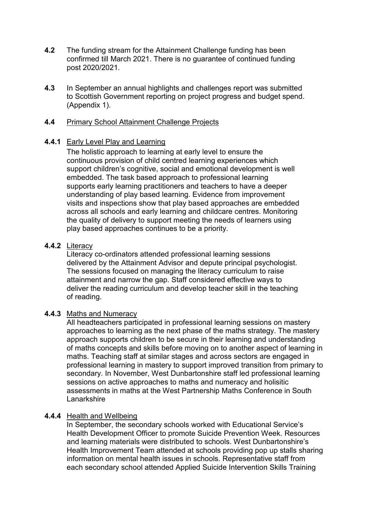- **4.2** The funding stream for the Attainment Challenge funding has been confirmed till March 2021. There is no guarantee of continued funding post 2020/2021.
- **4.3** In September an annual highlights and challenges report was submitted to Scottish Government reporting on project progress and budget spend. (Appendix 1).

#### **4.4** Primary School Attainment Challenge Projects

#### **4.4.1** Early Level Play and Learning

The holistic approach to learning at early level to ensure the continuous provision of child centred learning experiences which support children's cognitive, social and emotional development is well embedded. The task based approach to professional learning supports early learning practitioners and teachers to have a deeper understanding of play based learning. Evidence from improvement visits and inspections show that play based approaches are embedded across all schools and early learning and childcare centres. Monitoring the quality of delivery to support meeting the needs of learners using play based approaches continues to be a priority.

#### **4.4.2** Literacy

Literacy co-ordinators attended professional learning sessions delivered by the Attainment Advisor and depute principal psychologist. The sessions focused on managing the literacy curriculum to raise attainment and narrow the gap. Staff considered effective ways to deliver the reading curriculum and develop teacher skill in the teaching of reading.

## **4.4.3** Maths and Numeracy

All headteachers participated in professional learning sessions on mastery approaches to learning as the next phase of the maths strategy. The mastery approach supports children to be secure in their learning and understanding of maths concepts and skills before moving on to another aspect of learning in maths. Teaching staff at similar stages and across sectors are engaged in professional learning in mastery to support improved transition from primary to secondary. In November, West Dunbartonshire staff led professional learning sessions on active approaches to maths and numeracy and holisitic assessments in maths at the West Partnership Maths Conference in South Lanarkshire

## **4.4.4** Health and Wellbeing

 In September, the secondary schools worked with Educational Service's Health Development Officer to promote Suicide Prevention Week. Resources and learning materials were distributed to schools. West Dunbartonshire's Health Improvement Team attended at schools providing pop up stalls sharing information on mental health issues in schools. Representative staff from each secondary school attended Applied Suicide Intervention Skills Training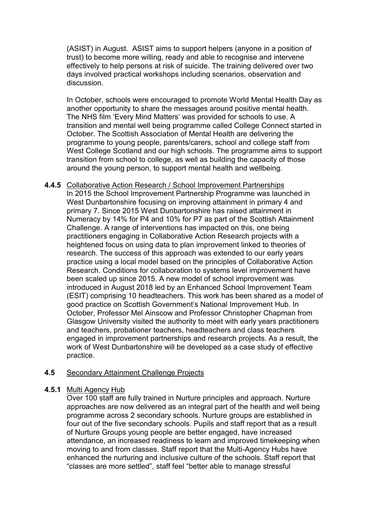(ASIST) in August. ASIST aims to support helpers (anyone in a position of trust) to become more willing, ready and able to recognise and intervene effectively to help persons at risk of suicide. The training delivered over two days involved practical workshops including scenarios, observation and discussion.

In October, schools were encouraged to promote World Mental Health Day as another opportunity to share the messages around positive mental health. The NHS film 'Every Mind Matters' was provided for schools to use. A transition and mental well being programme called College Connect started in October. The Scottish Association of Mental Health are delivering the programme to young people, parents/carers, school and college staff from West College Scotland and our high schools. The programme aims to support transition from school to college, as well as building the capacity of those around the young person, to support mental health and wellbeing.

**4.4.5** Collaborative Action Research / School Improvement Partnerships In 2015 the School Improvement Partnership Programme was launched in West Dunbartonshire focusing on improving attainment in primary 4 and primary 7. Since 2015 West Dunbartonshire has raised attainment in Numeracy by 14% for P4 and 10% for P7 as part of the Scottish Attainment Challenge. A range of interventions has impacted on this, one being practitioners engaging in Collaborative Action Research projects with a heightened focus on using data to plan improvement linked to theories of research. The success of this approach was extended to our early years practice using a local model based on the principles of Collaborative Action Research. Conditions for collaboration to systems level improvement have been scaled up since 2015. A new model of school improvement was introduced in August 2018 led by an Enhanced School Improvement Team (ESIT) comprising 10 headteachers. This work has been shared as a model of good practice on Scottish Government's National Improvement Hub. In October, Professor Mel Ainscow and Professor Christopher Chapman from Glasgow University visited the authority to meet with early years practitioners and teachers, probationer teachers, headteachers and class teachers engaged in improvement partnerships and research projects. As a result, the work of West Dunbartonshire will be developed as a case study of effective practice.

## **4.5** Secondary Attainment Challenge Projects

## **4.5.1** Multi Agency Hub

Over 100 staff are fully trained in Nurture principles and approach. Nurture approaches are now delivered as an integral part of the health and well being programme across 2 secondary schools. Nurture groups are established in four out of the five secondary schools. Pupils and staff report that as a result of Nurture Groups young people are better engaged, have increased attendance, an increased readiness to learn and improved timekeeping when moving to and from classes. Staff report that the Multi-Agency Hubs have enhanced the nurturing and inclusive culture of the schools. Staff report that "classes are more settled", staff feel "better able to manage stressful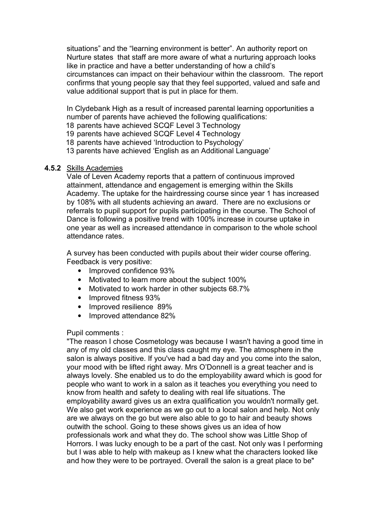situations" and the "learning environment is better". An authority report on Nurture states that staff are more aware of what a nurturing approach looks like in practice and have a better understanding of how a child's circumstances can impact on their behaviour within the classroom. The report confirms that young people say that they feel supported, valued and safe and value additional support that is put in place for them.

In Clydebank High as a result of increased parental learning opportunities a number of parents have achieved the following qualifications:

18 parents have achieved SCQF Level 3 Technology

19 parents have achieved SCQF Level 4 Technology

18 parents have achieved 'Introduction to Psychology'

13 parents have achieved 'English as an Additional Language'

## **4.5.2** Skills Academies

Vale of Leven Academy reports that a pattern of continuous improved attainment, attendance and engagement is emerging within the Skills Academy. The uptake for the hairdressing course since year 1 has increased by 108% with all students achieving an award. There are no exclusions or referrals to pupil support for pupils participating in the course. The School of Dance is following a positive trend with 100% increase in course uptake in one year as well as increased attendance in comparison to the whole school attendance rates.

A survey has been conducted with pupils about their wider course offering. Feedback is very positive:

- Improved confidence 93%
- Motivated to learn more about the subject 100%
- Motivated to work harder in other subjects 68.7%
- Improved fitness 93%
- Improved resilience 89%
- Improved attendance 82%

## Pupil comments :

"The reason I chose Cosmetology was because I wasn't having a good time in any of my old classes and this class caught my eye. The atmosphere in the salon is always positive. If you've had a bad day and you come into the salon, your mood with be lifted right away. Mrs O'Donnell is a great teacher and is always lovely. She enabled us to do the employability award which is good for people who want to work in a salon as it teaches you everything you need to know from health and safety to dealing with real life situations. The employability award gives us an extra qualification you wouldn't normally get. We also get work experience as we go out to a local salon and help. Not only are we always on the go but were also able to go to hair and beauty shows outwith the school. Going to these shows gives us an idea of how professionals work and what they do. The school show was Little Shop of Horrors. I was lucky enough to be a part of the cast. Not only was I performing but I was able to help with makeup as I knew what the characters looked like and how they were to be portrayed. Overall the salon is a great place to be"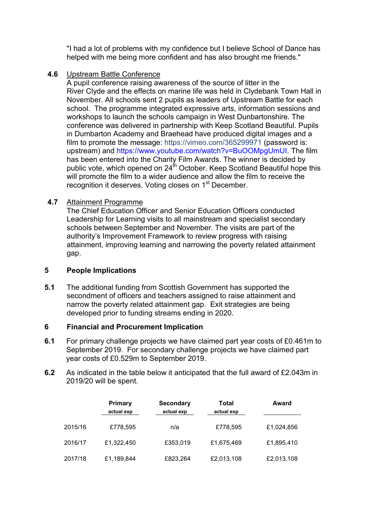"I had a lot of problems with my confidence but I believe School of Dance has helped with me being more confident and has also brought me friends."

# **4.6** Upstream Battle Conference

A pupil conference raising awareness of the source of litter in the River Clyde and the effects on marine life was held in Clydebank Town Hall in November. All schools sent 2 pupils as leaders of Upstream Battle for each school. The programme integrated expressive arts, information sessions and workshops to launch the schools campaign in West Dunbartonshire. The conference was delivered in partnership with Keep Scotland Beautiful. Pupils in Dumbarton Academy and Braehead have produced digital images and a film to promote the message:<https://vimeo.com/365299971>(password is: upstream) and [https://www.youtube.com/watch?v=BuOOMpgUmUI.](https://www.youtube.com/watch?v=BuOOMpgUmUI) The film has been entered into the Charity Film Awards. The winner is decided by public vote, which opened on 24<sup>th</sup> October. Keep Scotland Beautiful hope this will promote the film to a wider audience and allow the film to receive the recognition it deserves. Voting closes on 1<sup>st</sup> December.

# **4.7** Attainment Programme

The Chief Education Officer and Senior Education Officers conducted Leadership for Learning visits to all mainstream and specialist secondary schools between September and November. The visits are part of the authority's Improvement Framework to review progress with raising attainment, improving learning and narrowing the poverty related attainment gap.

## **5 People Implications**

**5.1** The additional funding from Scottish Government has supported the secondment of officers and teachers assigned to raise attainment and narrow the poverty related attainment gap. Exit strategies are being developed prior to funding streams ending in 2020.

## **6 Financial and Procurement Implication**

- **6.1** For primary challenge projects we have claimed part year costs of £0.461m to September 2019. For secondary challenge projects we have claimed part year costs of £0.529m to September 2019.
- **6.2** As indicated in the table below it anticipated that the full award of £2.043m in 2019/20 will be spent.

|         | <b>Primary</b><br>actual exp | <b>Secondary</b><br>actual exp | Total<br>actual exp | Award      |
|---------|------------------------------|--------------------------------|---------------------|------------|
| 2015/16 | £778,595                     | n/a                            | £778,595            | £1,024,856 |
| 2016/17 | £1,322,450                   | £353,019                       | £1,675,469          | £1,895,410 |
| 2017/18 | £1,189,844                   | £823,264                       | £2,013,108          | £2,013,108 |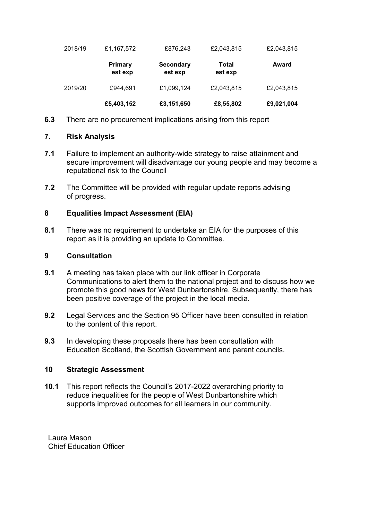| 2018/19 | £1,167,572                | £876,243                    | £2,043,815       | £2,043,815 |
|---------|---------------------------|-----------------------------|------------------|------------|
|         | <b>Primary</b><br>est exp | <b>Secondary</b><br>est exp | Total<br>est exp | Award      |
| 2019/20 | £944,691                  | £1,099,124                  | £2,043,815       | £2,043,815 |
|         | £5,403,152                | £3,151,650                  | £8,55,802        | £9,021,004 |

**6.3** There are no procurement implications arising from this report

## **7. Risk Analysis**

- **7.1** Failure to implement an authority-wide strategy to raise attainment and secure improvement will disadvantage our young people and may become a reputational risk to the Council
- **7.2** The Committee will be provided with regular update reports advising of progress.

## **8 Equalities Impact Assessment (EIA)**

**8.1** There was no requirement to undertake an EIA for the purposes of this report as it is providing an update to Committee.

## **9 Consultation**

- **9.1** A meeting has taken place with our link officer in Corporate Communications to alert them to the national project and to discuss how we promote this good news for West Dunbartonshire. Subsequently, there has been positive coverage of the project in the local media.
- **9.2** Legal Services and the Section 95 Officer have been consulted in relation to the content of this report.
- **9.3** In developing these proposals there has been consultation with Education Scotland, the Scottish Government and parent councils.

## **10 Strategic Assessment**

**10**.**1** This report reflects the Council's 2017-2022 overarching priority to reduce inequalities for the people of West Dunbartonshire which supports improved outcomes for all learners in our community.

Laura Mason Chief Education Officer